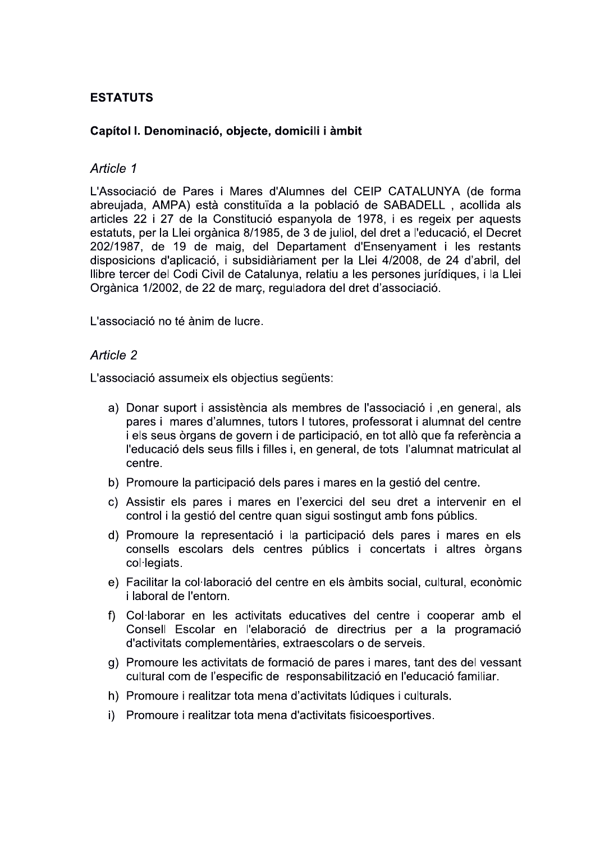# **ESTATUTS**

## Capítol I. Denominació, objecte, domicili i àmbit

## Article 1

L'Associació de Pares i Mares d'Alumnes del CEIP CATALUNYA (de forma abreujada, AMPA) està constituïda a la població de SABADELL, acollida als articles 22 i 27 de la Constitució espanyola de 1978, i es regeix per aquests estatuts, per la Llei orgànica 8/1985, de 3 de juliol, del dret a l'educació, el Decret 202/1987, de 19 de maig, del Departament d'Ensenyament i les restants disposicions d'aplicació, i subsidiàriament per la Llei 4/2008, de 24 d'abril, del Ilibre tercer del Codi Civil de Catalunya, relatiu a les persones jurídiques, i la Llei Orgànica 1/2002, de 22 de març, reguladora del dret d'associació.

L'associació no té ànim de lucre.

### Article 2

L'associació assumeix els obiectius següents:

- a) Donar suport i assistència als membres de l'associació i , en general, als pares i mares d'alumnes, tutors I tutores, professorat i alumnat del centre i els seus òrgans de govern i de participació, en tot allò que fa referència a l'educació dels seus fills i filles i, en general, de tots l'alumnat matriculat al centre.
- b) Promoure la participació dels pares i mares en la gestió del centre.
- c) Assistir els pares i mares en l'exercici del seu dret a intervenir en el control i la gestió del centre quan sigui sostingut amb fons públics.
- d) Promoure la representació i la participació dels pares i mares en els consells escolars dels centres públics i concertats i altres òrgans col·legiats.
- e) Facilitar la col·laboració del centre en els àmbits social, cultural, econòmic i laboral de l'entorn.
- f) Col·laborar en les activitats educatives del centre i cooperar amb el Consell Escolar en l'elaboració de directrius per a la programació d'activitats complementàries, extraescolars o de serveis.
- g) Promoure les activitats de formació de pares i mares, tant des del vessant cultural com de l'especific de responsabilització en l'educació familiar.
- h) Promoure i realitzar tota mena d'activitats lúdiques i culturals.
- i) Promoure i realitzar tota mena d'activitats fisicoesportives.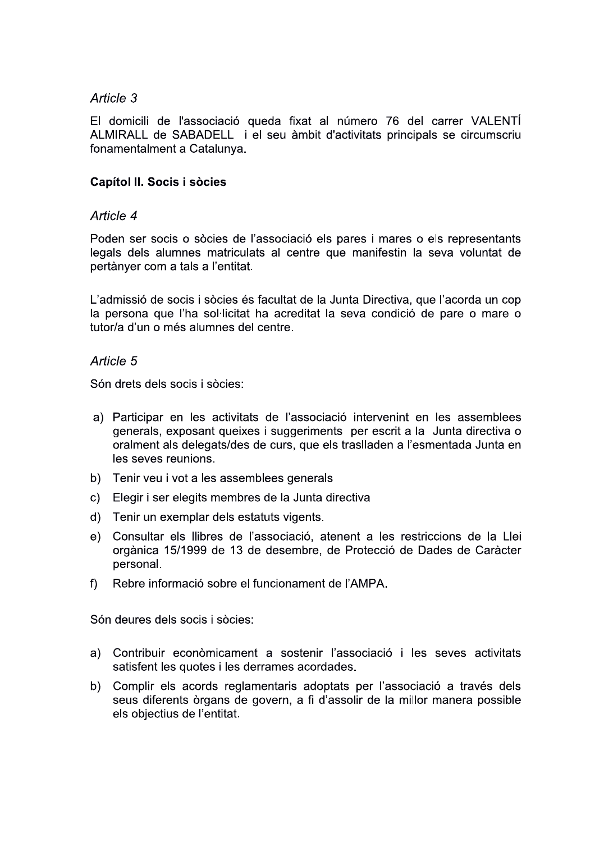El domicili de l'associació queda fixat al número 76 del carrer VALENTÍ ALMIRALL de SABADELL i el seu àmbit d'activitats principals se circumscriu fonamentalment a Catalunya.

# **Capítol II. Socis i sòcies**

# Article 4

Poden ser socis o sòcies de l'associació els pares i mares o els representants legals dels alumnes matriculats al centre que manifestin la seva voluntat de pertànyer com a tals a l'entitat.

L'admissió de socis i sòcies és facultat de la Junta Directiva, que l'acorda un cop la persona que l'ha sol·licitat ha acreditat la seva condició de pare o mare o tutor/a d'un o més alumnes del centre.

## Article 5

Són drets dels socis i sòcies:

- a) Participar en les activitats de l'associació intervenint en les assemblees generals, exposant queixes i suggeriments per escrit a la Junta directiva o oralment als delegats/des de curs, que els traslladen a l'esmentada Junta en les seves reunions.
- b) Tenir veu i vot a les assemblees generals
- c) Elegir i ser elegits membres de la Junta directiva
- $d)$ Tenir un exemplar dels estatuts vigents.
- Consultar els llibres de l'associació, atenent a les restriccions de la Llei  $e)$ orgànica 15/1999 de 13 de desembre, de Protecció de Dades de Caràcter personal.
- $f$ Rebre informació sobre el funcionament de l'AMPA.

Són deures dels socis i sòcies:

- a) Contribuir econòmicament a sostenir l'associació i les seves activitats satisfent les quotes i les derrames acordades.
- b) Complir els acords reglamentaris adoptats per l'associació a través dels seus diferents òrgans de govern, a fi d'assolir de la millor manera possible els objectius de l'entitat.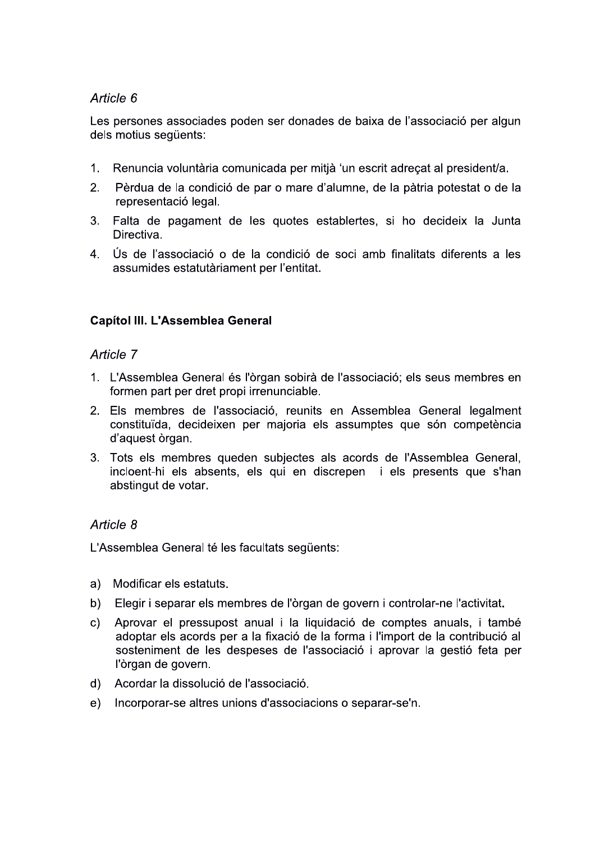Les persones associades poden ser donades de baixa de l'associació per algun dels motius sequents:

- $1<sub>1</sub>$ Renuncia voluntària comunicada per mitjà 'un escrit adrecat al president/a.
- $2.$ Pèrdua de la condició de par o mare d'alumne, de la pàtria potestat o de la representació legal.
- Falta de pagament de les quotes establertes, si ho decideix la Junta  $3<sub>1</sub>$ Directiva.
- 4. Ús de l'associació o de la condició de soci amb finalitats diferents a les assumides estatutàriament per l'entitat.

## **Capítol III. L'Assemblea General**

## Article 7

- 1. L'Assemblea General és l'òrgan sobirà de l'associació; els seus membres en formen part per dret propi irrenunciable.
- 2. Els membres de l'associació, reunits en Assemblea General legalment constituïda, decideixen per majoria els assumptes que són competència d'aquest òrgan.
- 3. Tots els membres queden subjectes als acords de l'Assemblea General, incloent-hi els absents, els qui en discrepen i els presents que s'han abstingut de votar.

# Article 8

L'Assemblea General té les facultats següents:

- $a)$ Modificar els estatuts.
- $b)$ Elegir i separar els membres de l'òrgan de govern i controlar-ne l'activitat.
- $\mathbf{C}$ Aprovar el pressupost anual i la liquidació de comptes anuals, i també adoptar els acords per a la fixació de la forma i l'import de la contribució al sosteniment de les despeses de l'associació i aprovar la gestió feta per l'òrgan de govern.
- Acordar la dissolució de l'associació.  $\mathsf{d}$
- Incorporar-se altres unions d'associacions o separar-se'n.  $e)$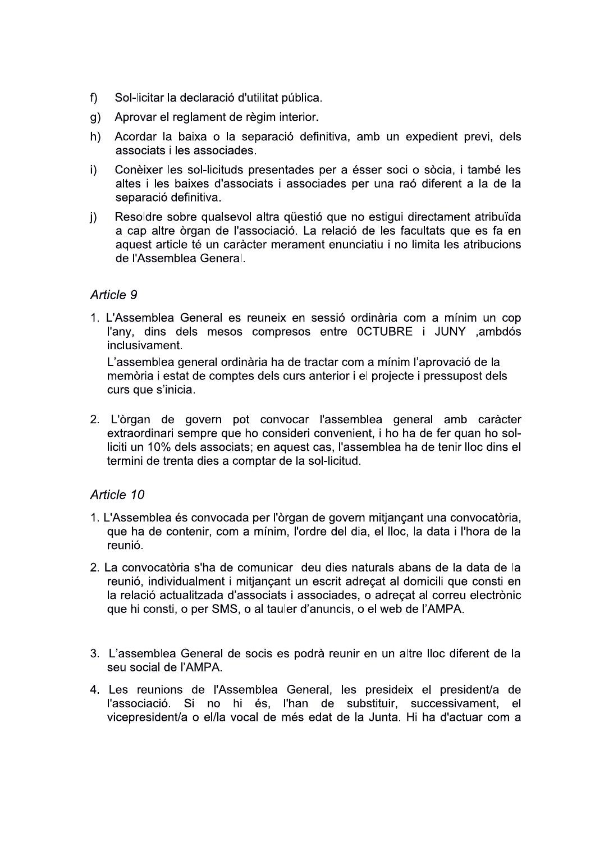- $f$ ) Sol-licitar la declaració d'utilitat pública.
- Aprovar el reglament de règim interior.  $\mathsf{q}$ )
- $h)$ Acordar la baixa o la separació definitiva, amb un expedient previ, dels associats i les associades.
- $i)$ Conèixer les sol-licituds presentades per a ésser soci o sòcia, i també les altes i les baixes d'associats i associades per una raó diferent a la de la separació definitiva.
- Resoldre sobre qualsevol altra questió que no estigui directament atribuïda  $\mathbf{i}$ a cap altre òrgan de l'associació. La relació de les facultats que es fa en aquest article té un caràcter merament enunciatiu i no limita les atribucions de l'Assemblea General.

1. L'Assemblea General es reuneix en sessió ordinària com a mínim un cop l'any, dins dels mesos compresos entre 0CTUBRE i JUNY ,ambdós inclusivament.

L'assemblea general ordinària ha de tractar com a mínim l'aprovació de la memòria i estat de comptes dels curs anterior i el projecte i pressupost dels curs que s'inicia.

2. L'òrgan de govern pot convocar l'assemblea general amb caràcter extraordinari sempre que ho consideri convenient, i ho ha de fer quan ho solliciti un 10% dels associats; en aquest cas, l'assemblea ha de tenir lloc dins el termini de trenta dies a comptar de la sol-licitud.

# Article 10

- 1. L'Assemblea és convocada per l'òrgan de govern mitjançant una convocatòria, que ha de contenir, com a mínim, l'ordre del dia, el lloc, la data i l'hora de la reunió.
- 2. La convocatòria s'ha de comunicar deu dies naturals abans de la data de la reunió, individualment i mitjançant un escrit adreçat al domicili que consti en la relació actualitzada d'associats i associades, o adreçat al correu electrònic que hi consti, o per SMS, o al tauler d'anuncis, o el web de l'AMPA.
- 3. L'assemblea General de socis es podrà reunir en un altre lloc diferent de la seu social de l'AMPA.
- 4. Les reunions de l'Assemblea General, les presideix el president/a de l'associació. Si no hi és, l'han de substituir, successivament,  $el$ vicepresident/a o el/la vocal de més edat de la Junta. Hi ha d'actuar com a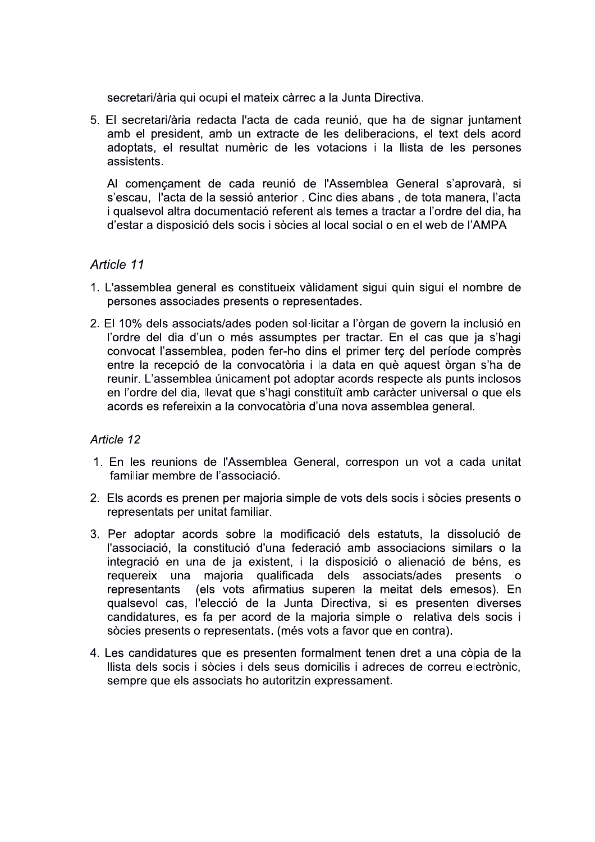secretari/ària qui ocupi el mateix càrrec a la Junta Directiva.

5. El secretari/ària redacta l'acta de cada reunió, que ha de signar juntament amb el president, amb un extracte de les deliberacions, el text dels acord adoptats, el resultat numèric de les votacions i la llista de les persones assistents.

Al començament de cada reunió de l'Assemblea General s'aprovarà, si s'escau, l'acta de la sessió anterior. Cinc dies abans, de tota manera, l'acta i qualsevol altra documentació referent als temes a tractar a l'ordre del dia, ha d'estar a disposició dels socis i sòcies al local social o en el web de l'AMPA

# Article 11

- 1. L'assemblea general es constitueix vàlidament sigui quin sigui el nombre de persones associades presents o representades.
- 2. El 10% dels associats/ades poden sol·licitar a l'òrgan de govern la inclusió en l'ordre del dia d'un o més assumptes per tractar. En el cas que ja s'hagi convocat l'assemblea, poden fer-ho dins el primer terç del període comprès entre la recepció de la convocatòria i la data en què aquest òrgan s'ha de reunir. L'assemblea únicament pot adoptar acords respecte als punts inclosos en l'ordre del dia, llevat que s'hagi constituït amb caràcter universal o que els acords es refereixin a la convocatòria d'una nova assemblea general.

### Article 12

- 1. En les reunions de l'Assemblea General, correspon un vot a cada unitat familiar membre de l'associació.
- 2. Els acords es prenen per majoria simple de vots dels socis i sòcies presents o representats per unitat familiar.
- 3. Per adoptar acords sobre la modificació dels estatuts, la dissolució de l'associació, la constitució d'una federació amb associacions similars o la integració en una de ja existent, i la disposició o alienació de béns, es maioria qualificada dels associats/ades presents o requereix una representants (els vots afirmatius superen la meitat dels emesos). En qualsevol cas, l'elecció de la Junta Directiva, si es presenten diverses candidatures, es fa per acord de la majoria simple o relativa dels socis i sòcies presents o representats. (més vots a favor que en contra).
- 4. Les candidatures que es presenten formalment tenen dret a una còpia de la Ilista dels socis i sòcies i dels seus domicilis i adreces de correu electrònic, sempre que els associats ho autoritzin expressament.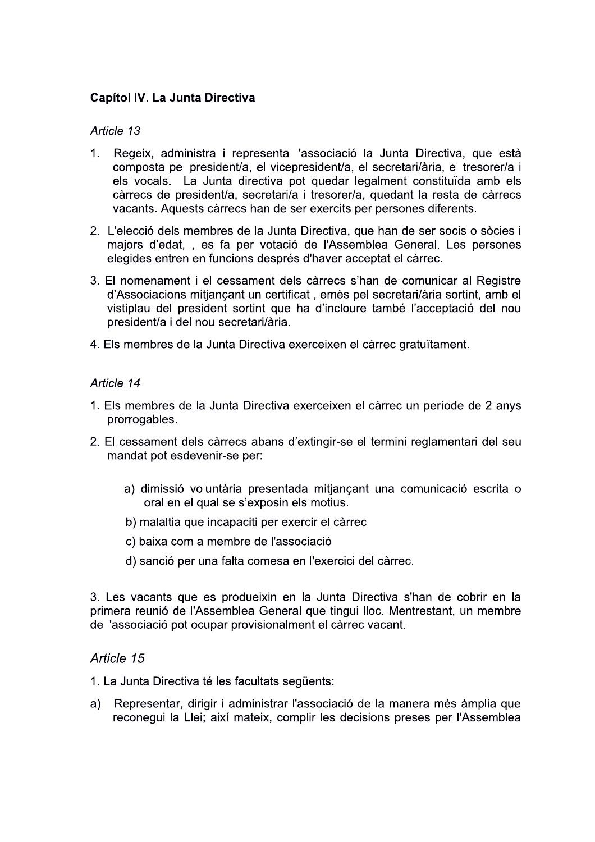## **Capítol IV. La Junta Directiva**

#### Article 13

- 1. Regeix, administra i representa l'associació la Junta Directiva, que està composta pel president/a, el vicepresident/a, el secretari/ària, el tresorer/a i els vocals. La Junta directiva pot quedar legalment constituïda amb els càrrecs de president/a, secretari/a i tresorer/a, quedant la resta de càrrecs vacants. Aquests càrrecs han de ser exercits per persones diferents.
- 2. L'elecció dels membres de la Junta Directiva, que han de ser socis o sòcies i majors d'edat, , es fa per votació de l'Assemblea General. Les persones elegides entren en funcions després d'haver acceptat el càrrec.
- 3. El nomenament i el cessament dels càrrecs s'han de comunicar al Registre d'Associacions mitjançant un certificat, emès pel secretari/ària sortint, amb el vistiplau del president sortint que ha d'incloure també l'acceptació del nou president/a i del nou secretari/ària.
- 4. Els membres de la Junta Directiva exerceixen el càrrec gratuïtament.

#### Article 14

- 1. Els membres de la Junta Directiva exerceixen el càrrec un període de 2 anys prorrogables.
- 2. El cessament dels càrrecs abans d'extingir-se el termini reglamentari del seu mandat pot esdevenir-se per:
	- a) dimissió voluntària presentada mitjançant una comunicació escrita o oral en el qual se s'exposin els motius.
	- b) malaltia que incapaciti per exercir el càrrec
	- c) baixa com a membre de l'associació
	- d) sanció per una falta comesa en l'exercici del càrrec.

3. Les vacants que es produeixin en la Junta Directiva s'han de cobrir en la primera reunió de l'Assemblea General que tingui lloc. Mentrestant, un membre de l'associació pot ocupar provisionalment el càrrec vacant.

### Article 15

1. La Junta Directiva té les facultats següents:

Representar, dirigir i administrar l'associació de la manera més àmplia que a) reconegui la Llei; així mateix, complir les decisions preses per l'Assemblea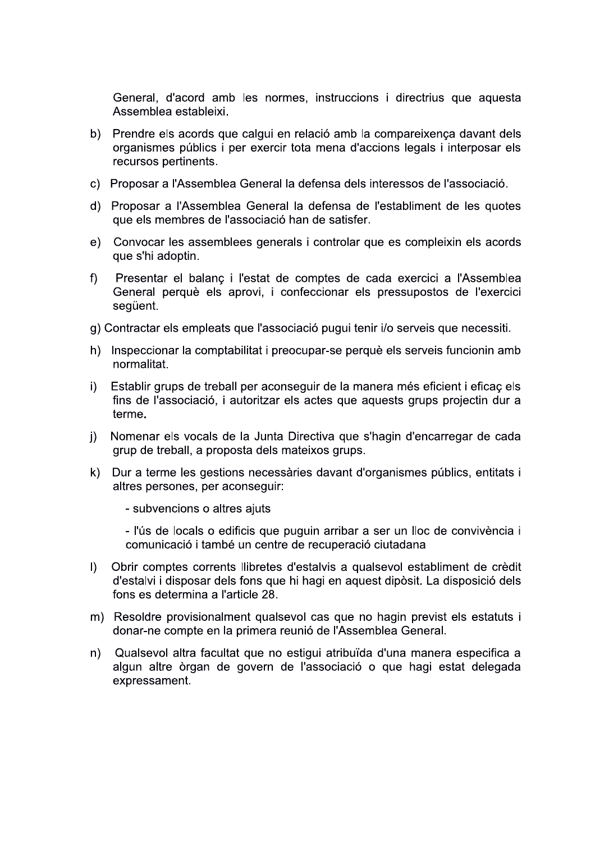General, d'acord amb les normes, instruccions i directrius que aquesta Assemblea estableixi.

- b) Prendre els acords que calqui en relació amb la compareixença davant dels organismes públics i per exercir tota mena d'accions legals i interposar els recursos pertinents.
- c) Proposar a l'Assemblea General la defensa dels interessos de l'associació.
- d) Proposar a l'Assemblea General la defensa de l'establiment de les quotes que els membres de l'associació han de satisfer.
- Convocar les assemblees generals i controlar que es compleixin els acords  $e)$ que s'hi adoptin.
- $f$ Presentar el balanç i l'estat de comptes de cada exercici a l'Assemblea General perquè els aprovi, i confeccionar els pressupostos de l'exercici seqüent.
- g) Contractar els empleats que l'associació pugui tenir i/o serveis que necessiti.
- h) Inspeccionar la comptabilitat i preocupar-se perquè els serveis funcionin amb normalitat.
- Establir grups de treball per aconseguir de la manera més eficient i eficaç els i) fins de l'associació, i autoritzar els actes que aquests grups projectin dur a terme.
- Nomenar els vocals de la Junta Directiva que s'hagin d'encarregar de cada  $\mathsf{I}$ grup de treball, a proposta dels mateixos grups.
- k) Dur a terme les gestions necessàries davant d'organismes públics, entitats i altres persones, per aconseguir:
	- subvencions o altres ajuts

- l'ús de locals o edificis que puguin arribar a ser un lloc de convivència i comunicació i també un centre de recuperació ciutadana

- Obrir comptes corrents llibretes d'estalvis a qualsevol establiment de crèdit  $\mathbf{D}$ d'estalvi i disposar dels fons que hi hagi en aquest dipòsit. La disposició dels fons es determina a l'article 28.
- m) Resoldre provisionalment qualsevol cas que no hagin previst els estatuts i donar-ne compte en la primera reunió de l'Assemblea General.
- Qualsevol altra facultat que no estigui atribuïda d'una manera especifica a  $n)$ algun altre òrgan de govern de l'associació o que hagi estat delegada expressament.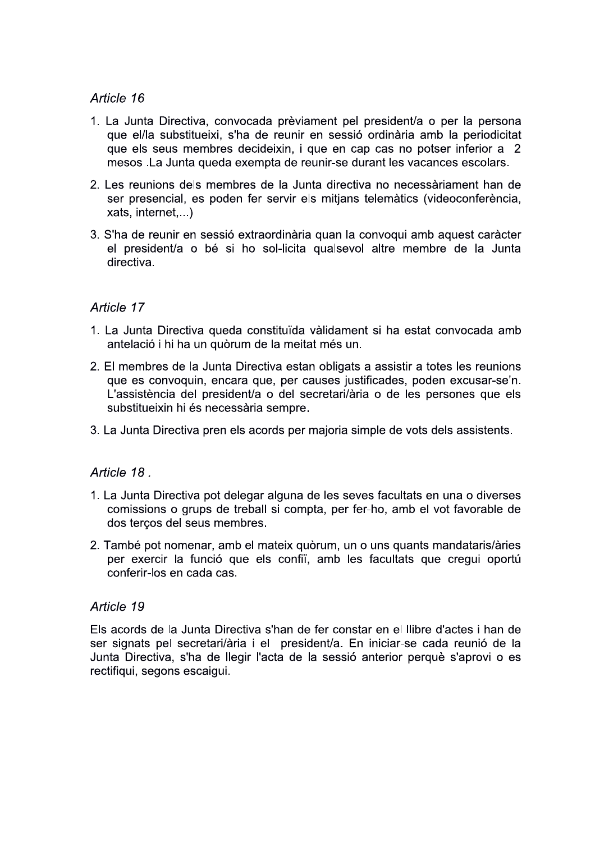- 1. La Junta Directiva, convocada prèviament pel president/a o per la persona que el/la substitueixi, s'ha de reunir en sessió ordinària amb la periodicitat que els seus membres decideixin, i que en cap cas no potser inferior a 2 mesos. La Junta queda exempta de reunir-se durant les vacances escolars.
- 2. Les reunions dels membres de la Junta directiva no necessàriament han de ser presencial, es poden fer servir els mitjans telemàtics (videoconferència, xats, internet,...)
- 3. S'ha de reunir en sessió extraordinària quan la convoqui amb aquest caràcter el president/a o bé si ho sol-licita qualsevol altre membre de la Junta directiva.

## Article 17

- 1. La Junta Directiva queda constituïda vàlidament si ha estat convocada amb antelació i hi ha un quòrum de la meitat més un.
- 2. El membres de la Junta Directiva estan obligats a assistir a totes les reunions que es convoquin, encara que, per causes justificades, poden excusar-se'n. L'assistència del president/a o del secretari/ària o de les persones que els substitueixin hi és necessària sempre.
- 3. La Junta Directiva pren els acords per majoria simple de vots dels assistents.

### Article 18.

- 1. La Junta Directiva pot delegar alguna de les seves facultats en una o diverses comissions o grups de treball si compta, per fer-ho, amb el vot favorable de dos tercos del seus membres.
- 2. També pot nomenar, amb el mateix quòrum, un o uns quants mandataris/àries per exercir la funció que els confii, amb les facultats que cregui oportú conferir-los en cada cas.

#### Article 19

Els acords de la Junta Directiva s'han de fer constar en el llibre d'actes i han de ser signats pel secretari/ària i el president/a. En iniciar-se cada reunió de la Junta Directiva, s'ha de llegir l'acta de la sessió anterior perquè s'aprovi o es rectifiqui, segons escaigui.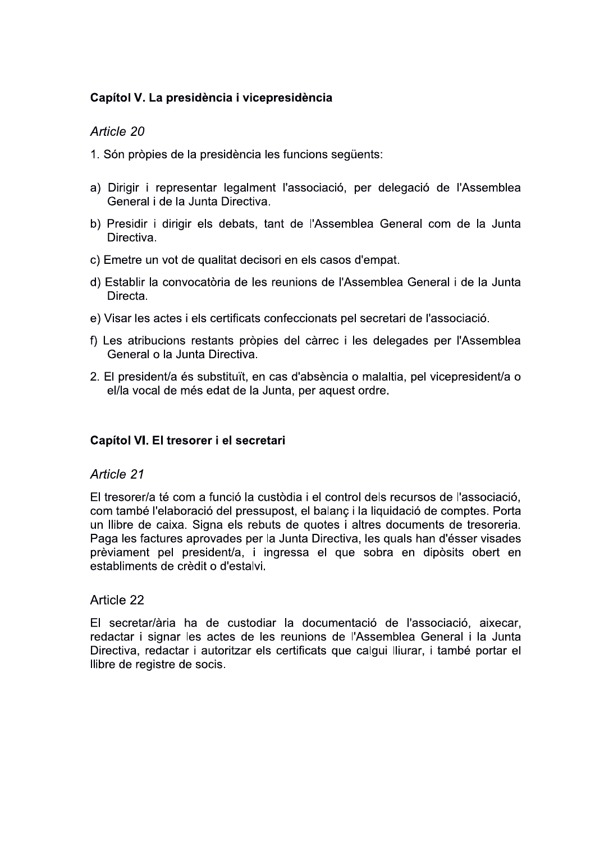# Capítol V. La presidència i vicepresidència

# Article 20

- 1. Són pròpies de la presidència les funcions sequents:
- a) Dirigir i representar legalment l'associació, per delegació de l'Assemblea General i de la Junta Directiva.
- b) Presidir i dirigir els debats, tant de l'Assemblea General com de la Junta Directiva.
- c) Emetre un vot de qualitat decisori en els casos d'empat.
- d) Establir la convocatòria de les reunions de l'Assemblea General i de la Junta Directa.
- e) Visar les actes i els certificats confeccionats pel secretari de l'associació.
- f) Les atribucions restants pròpies del càrrec i les delegades per l'Assemblea General o la Junta Directiva.
- 2. El president/a és substituït, en cas d'absència o malaltia, pel vicepresident/a o el/la vocal de més edat de la Junta, per aquest ordre.

### Capítol VI. El tresorer i el secretari

### Article 21

El tresorer/a té com a funció la custòdia i el control dels recursos de l'associació. com també l'elaboració del pressupost, el balanc i la liguidació de comptes. Porta un llibre de caixa. Signa els rebuts de guotes i altres documents de tresoreria. Paga les factures aprovades per la Junta Directiva, les quals han d'ésser visades prèviament pel president/a, i ingressa el que sobra en dipòsits obert en establiments de crèdit o d'estalvi.

### Article 22

El secretar/ària ha de custodiar la documentació de l'associació, aixecar, redactar i signar les actes de les reunions de l'Assemblea General i la Junta Directiva, redactar i autoritzar els certificats que calgui lliurar, i també portar el Ilibre de registre de socis.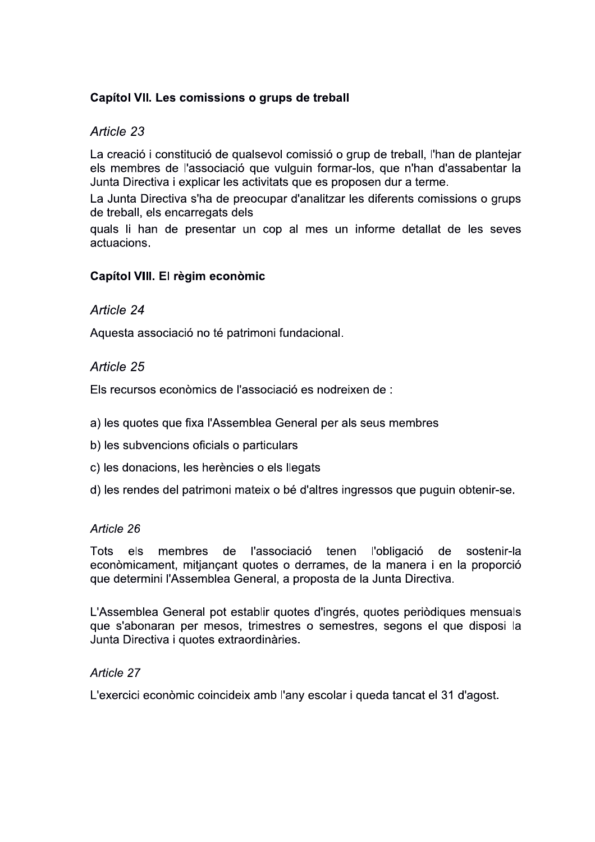# Capítol VII. Les comissions o grups de treball

# Article 23

La creació i constitució de qualsevol comissió o grup de treball, l'han de plantejar els membres de l'associació que vulguin formar-los, que n'han d'assabentar la Junta Directiva i explicar les activitats que es proposen dur a terme.

La Junta Directiva s'ha de preocupar d'analitzar les diferents comissions o grups de treball, els encarregats dels

quals li han de presentar un cop al mes un informe detallat de les seves actuacions.

## Capítol VIII. El règim econòmic

## Article 24

Aquesta associació no té patrimoni fundacional.

# Article 25

Els recursos econòmics de l'associació es nodreixen de :

- a) les quotes que fixa l'Assemblea General per als seus membres
- b) les subvencions oficials o particulars
- c) les donacions, les herències o els llegats
- d) les rendes del patrimoni mateix o bé d'altres ingressos que puguin obtenir-se.

### Article 26

Tots els membres de l'associació tenen l'obligació de sostenir-la econòmicament, mitjançant quotes o derrames, de la manera i en la proporció que determini l'Assemblea General, a proposta de la Junta Directiva.

L'Assemblea General pot establir quotes d'ingrés, quotes periòdiques mensuals que s'abonaran per mesos, trimestres o semestres, segons el que disposi la Junta Directiva i quotes extraordinàries.

### Article 27

L'exercici econòmic coincideix amb l'any escolar i queda tancat el 31 d'agost.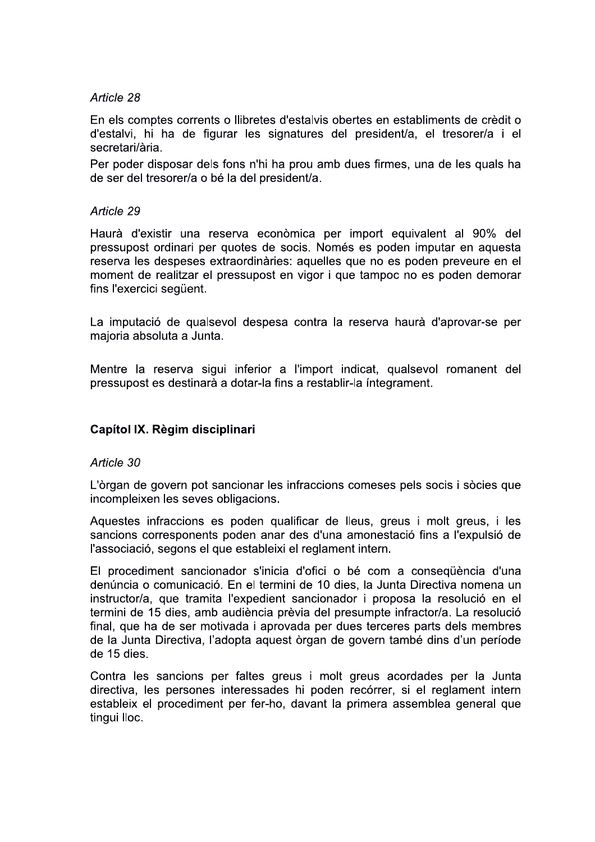En els comptes corrents o llibretes d'estalvis obertes en establiments de crèdit o d'estalvi, hi ha de figurar les signatures del president/a, el tresorer/a i el secretari/ària.

Per poder disposar dels fons n'hi ha prou amb dues firmes, una de les quals ha de ser del tresorer/a o bé la del president/a.

#### Article 29

Haurà d'existir una reserva econòmica per import equivalent al 90% del pressupost ordinari per quotes de socis. Només es poden imputar en aquesta reserva les despeses extraordinàries: aquelles que no es poden preveure en el moment de realitzar el pressupost en vigor i que tampoc no es poden demorar fins l'exercici següent.

La imputació de qualsevol despesa contra la reserva haurà d'aprovar-se per majoria absoluta a Junta.

Mentre la reserva sigui inferior a l'import indicat, qualsevol romanent del pressupost es destinarà a dotar-la fins a restablir-la integrament.

#### Capítol IX. Règim disciplinari

#### Article 30

L'òrgan de govern pot sancionar les infraccions comeses pels socis i sòcies que incompleixen les seves obligacions.

Aquestes infraccions es poden qualificar de lleus, greus i molt greus, i les sancions corresponents poden anar des d'una amonestació fins a l'expulsió de l'associació, segons el que estableixi el reglament intern.

El procediment sancionador s'inicia d'ofici o bé com a consequència d'una denúncia o comunicació. En el termini de 10 dies, la Junta Directiva nomena un instructor/a, que tramita l'expedient sancionador i proposa la resolució en el termini de 15 dies, amb audiència prèvia del presumpte infractor/a. La resolució final, que ha de ser motivada i aprovada per dues terceres parts dels membres de la Junta Directiva, l'adopta aquest òrgan de govern també dins d'un període de 15 dies.

Contra les sancions per faltes greus i molt greus acordades per la Junta directiva, les persones interessades hi poden recórrer, si el reglament intern estableix el procediment per fer-ho, davant la primera assemblea general que tingui lloc.